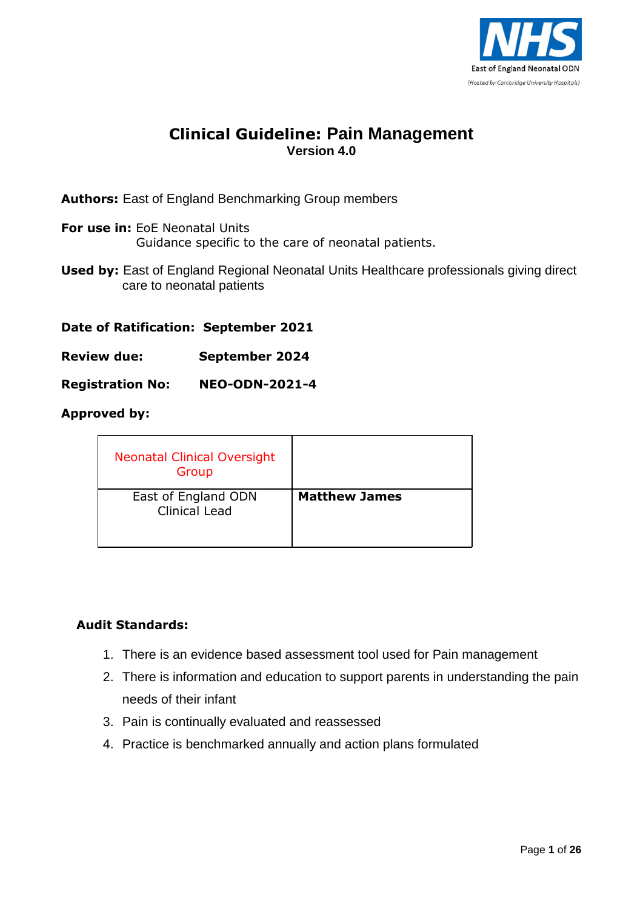

## **Clinical Guideline: Pain Management Version 4.0**

**Authors:** East of England Benchmarking Group members

- **For use in:** EoE Neonatal Units Guidance specific to the care of neonatal patients.
- **Used by:** East of England Regional Neonatal Units Healthcare professionals giving direct care to neonatal patients

**Date of Ratification: September 2021**

**Review due: September 2024**

**Registration No: NEO-ODN-2021-4**

#### **Approved by:**

| <b>Neonatal Clinical Oversight</b><br>Group |                      |
|---------------------------------------------|----------------------|
| East of England ODN<br><b>Clinical Lead</b> | <b>Matthew James</b> |

### **Audit Standards:**

- 1. There is an evidence based assessment tool used for Pain management
- 2. There is information and education to support parents in understanding the pain needs of their infant
- 3. Pain is continually evaluated and reassessed
- 4. Practice is benchmarked annually and action plans formulated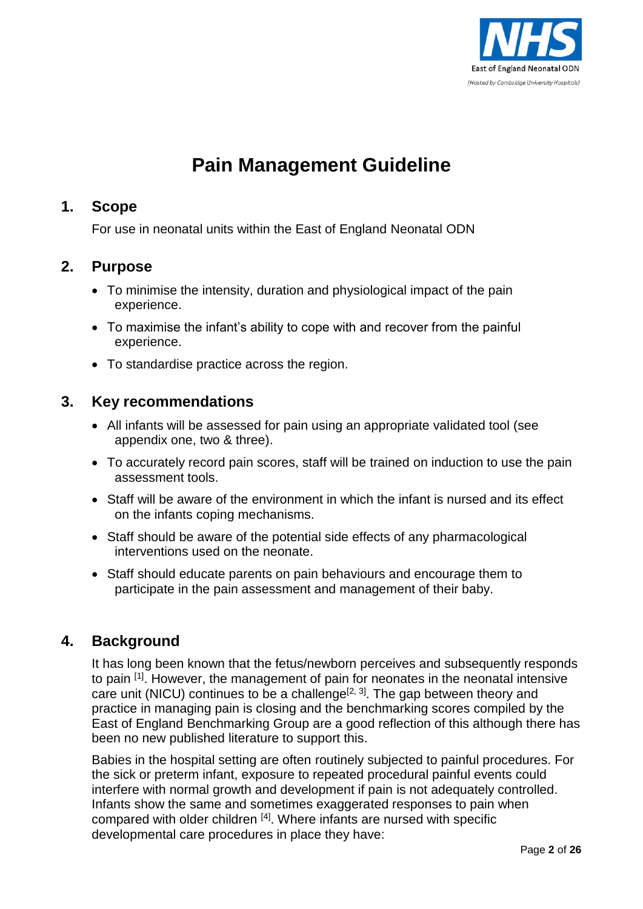

# **Pain Management Guideline**

## **1. Scope**

For use in neonatal units within the East of England Neonatal ODN

## **2. Purpose**

- To minimise the intensity, duration and physiological impact of the pain experience.
- To maximise the infant's ability to cope with and recover from the painful experience.
- To standardise practice across the region.

## **3. Key recommendations**

- All infants will be assessed for pain using an appropriate validated tool (see appendix one, two & three).
- To accurately record pain scores, staff will be trained on induction to use the pain assessment tools.
- Staff will be aware of the environment in which the infant is nursed and its effect on the infants coping mechanisms.
- Staff should be aware of the potential side effects of any pharmacological interventions used on the neonate.
- Staff should educate parents on pain behaviours and encourage them to participate in the pain assessment and management of their baby.

## **4. Background**

It has long been known that the fetus/newborn perceives and subsequently responds to pain <sup>[1]</sup>. However, the management of pain for neonates in the neonatal intensive care unit (NICU) continues to be a challenge<sup>[2, 3]</sup>. The gap between theory and practice in managing pain is closing and the benchmarking scores compiled by the East of England Benchmarking Group are a good reflection of this although there has been no new published literature to support this.

Babies in the hospital setting are often routinely subjected to painful procedures. For the sick or preterm infant, exposure to repeated procedural painful events could interfere with normal growth and development if pain is not adequately controlled. Infants show the same and sometimes exaggerated responses to pain when compared with older children <sup>[4]</sup>. Where infants are nursed with specific developmental care procedures in place they have: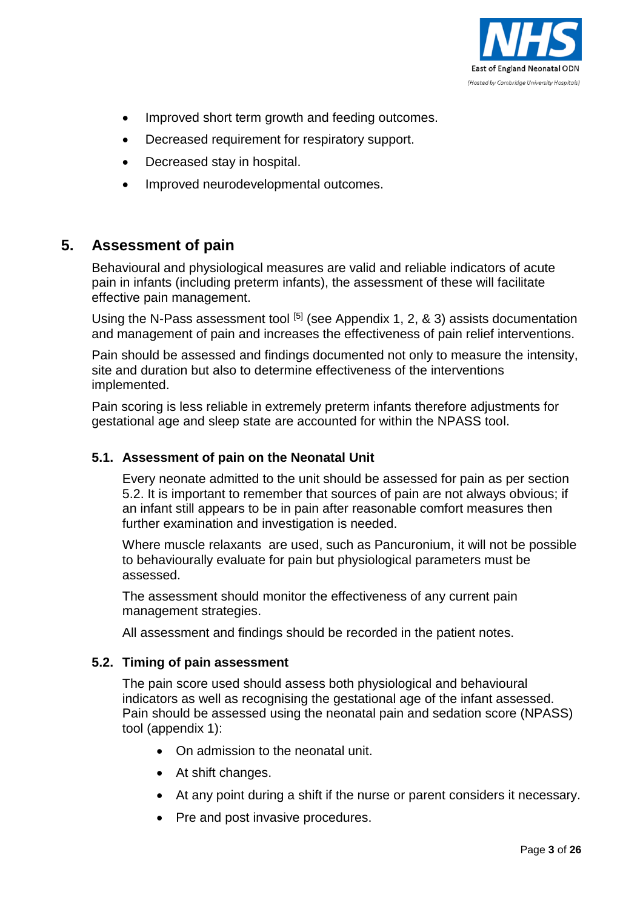

- Improved short term growth and feeding outcomes.
- Decreased requirement for respiratory support.
- Decreased stay in hospital.
- Improved neurodevelopmental outcomes.

## **5. Assessment of pain**

Behavioural and physiological measures are valid and reliable indicators of acute pain in infants (including preterm infants), the assessment of these will facilitate effective pain management.

Using the N-Pass assessment tool  $[5]$  (see Appendix 1, 2, & 3) assists documentation and management of pain and increases the effectiveness of pain relief interventions.

Pain should be assessed and findings documented not only to measure the intensity, site and duration but also to determine effectiveness of the interventions implemented.

Pain scoring is less reliable in extremely preterm infants therefore adjustments for gestational age and sleep state are accounted for within the NPASS tool.

### **5.1. Assessment of pain on the Neonatal Unit**

Every neonate admitted to the unit should be assessed for pain as per section 5.2. It is important to remember that sources of pain are not always obvious; if an infant still appears to be in pain after reasonable comfort measures then further examination and investigation is needed.

Where muscle relaxants are used, such as Pancuronium, it will not be possible to behaviourally evaluate for pain but physiological parameters must be assessed.

The assessment should monitor the effectiveness of any current pain management strategies.

All assessment and findings should be recorded in the patient notes.

#### **5.2. Timing of pain assessment**

The pain score used should assess both physiological and behavioural indicators as well as recognising the gestational age of the infant assessed. Pain should be assessed using the neonatal pain and sedation score (NPASS) tool (appendix 1):

- On admission to the neonatal unit.
- At shift changes.
- At any point during a shift if the nurse or parent considers it necessary.
- Pre and post invasive procedures.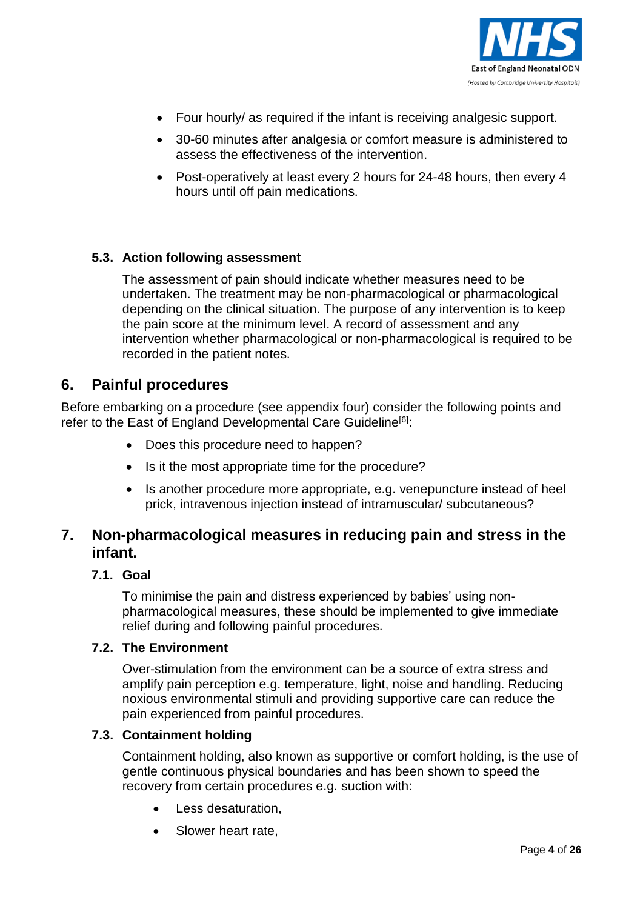

- Four hourly/ as required if the infant is receiving analgesic support.
- 30-60 minutes after analgesia or comfort measure is administered to assess the effectiveness of the intervention.
- Post-operatively at least every 2 hours for 24-48 hours, then every 4 hours until off pain medications.

#### **5.3. Action following assessment**

The assessment of pain should indicate whether measures need to be undertaken. The treatment may be non-pharmacological or pharmacological depending on the clinical situation. The purpose of any intervention is to keep the pain score at the minimum level. A record of assessment and any intervention whether pharmacological or non-pharmacological is required to be recorded in the patient notes.

### **6. Painful procedures**

Before embarking on a procedure (see appendix four) consider the following points and refer to the East of England Developmental Care Guideline<sup>[6]</sup>:

- Does this procedure need to happen?
- Is it the most appropriate time for the procedure?
- Is another procedure more appropriate, e.g. venepuncture instead of heel prick, intravenous injection instead of intramuscular/ subcutaneous?

## **7. Non-pharmacological measures in reducing pain and stress in the infant.**

#### **7.1. Goal**

To minimise the pain and distress experienced by babies' using nonpharmacological measures, these should be implemented to give immediate relief during and following painful procedures.

#### **7.2. The Environment**

Over-stimulation from the environment can be a source of extra stress and amplify pain perception e.g. temperature, light, noise and handling. Reducing noxious environmental stimuli and providing supportive care can reduce the pain experienced from painful procedures.

#### **7.3. Containment holding**

Containment holding, also known as supportive or comfort holding, is the use of gentle continuous physical boundaries and has been shown to speed the recovery from certain procedures e.g. suction with:

- Less desaturation,
- Slower heart rate,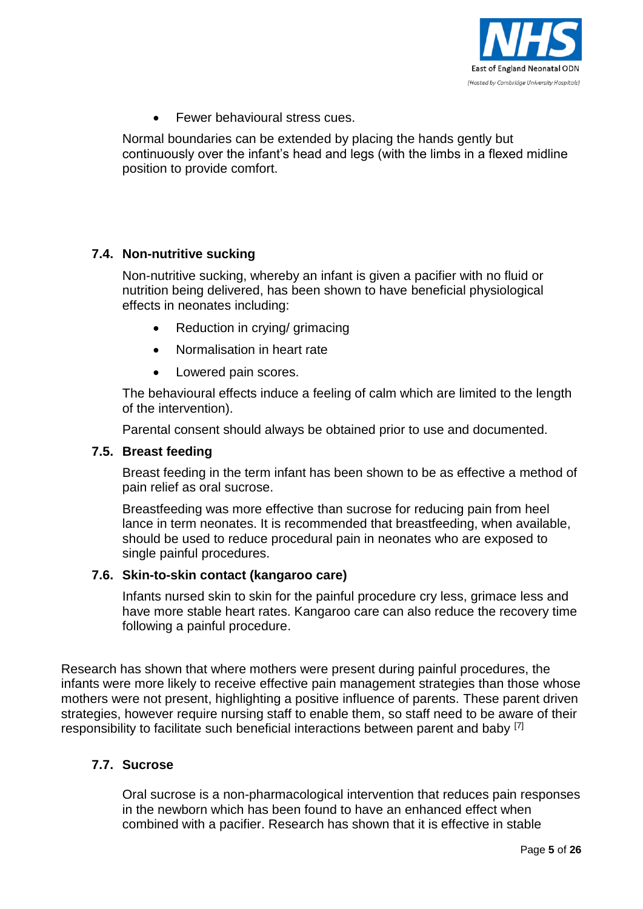

Fewer behavioural stress cues.

Normal boundaries can be extended by placing the hands gently but continuously over the infant's head and legs (with the limbs in a flexed midline position to provide comfort.

### **7.4. Non-nutritive sucking**

Non-nutritive sucking, whereby an infant is given a pacifier with no fluid or nutrition being delivered, has been shown to have beneficial physiological effects in neonates including:

- Reduction in crying/ grimacing
- Normalisation in heart rate
- Lowered pain scores.

The behavioural effects induce a feeling of calm which are limited to the length of the intervention).

Parental consent should always be obtained prior to use and documented.

#### **7.5. Breast feeding**

Breast feeding in the term infant has been shown to be as effective a method of pain relief as oral sucrose.

Breastfeeding was more effective than sucrose for reducing pain from heel lance in term neonates. It is recommended that breastfeeding, when available, should be used to reduce procedural pain in neonates who are exposed to single painful procedures.

### **7.6. Skin-to-skin contact (kangaroo care)**

Infants nursed skin to skin for the painful procedure cry less, grimace less and have more stable heart rates. Kangaroo care can also reduce the recovery time following a painful procedure.

Research has shown that where mothers were present during painful procedures, the infants were more likely to receive effective pain management strategies than those whose mothers were not present, highlighting a positive influence of parents. These parent driven strategies, however require nursing staff to enable them, so staff need to be aware of their responsibility to facilitate such beneficial interactions between parent and baby [7]

### **7.7. Sucrose**

Oral sucrose is a non-pharmacological intervention that reduces pain responses in the newborn which has been found to have an enhanced effect when combined with a pacifier. Research has shown that it is effective in stable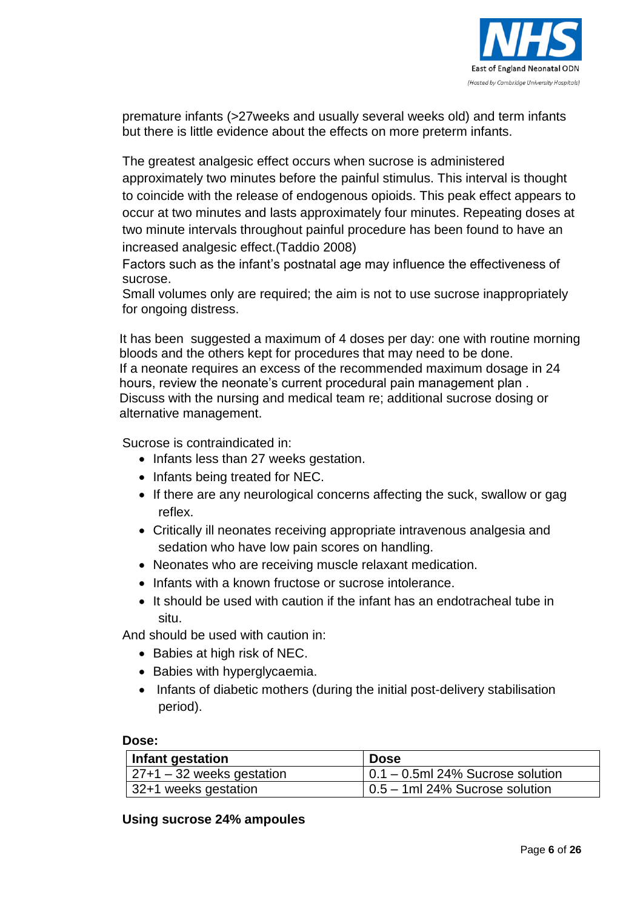

premature infants (>27weeks and usually several weeks old) and term infants but there is little evidence about the effects on more preterm infants.

The greatest analgesic effect occurs when sucrose is administered approximately two minutes before the painful stimulus. This interval is thought to coincide with the release of endogenous opioids. This peak effect appears to occur at two minutes and lasts approximately four minutes. Repeating doses at two minute intervals throughout painful procedure has been found to have an increased analgesic effect.(Taddio 2008)

Factors such as the infant's postnatal age may influence the effectiveness of sucrose.

Small volumes only are required; the aim is not to use sucrose inappropriately for ongoing distress.

It has been suggested a maximum of 4 doses per day: one with routine morning bloods and the others kept for procedures that may need to be done. If a neonate requires an excess of the recommended maximum dosage in 24 hours, review the neonate's current procedural pain management plan . Discuss with the nursing and medical team re; additional sucrose dosing or alternative management.

Sucrose is contraindicated in:

- Infants less than 27 weeks gestation.
- Infants being treated for NEC.
- If there are any neurological concerns affecting the suck, swallow or gag reflex.
- Critically ill neonates receiving appropriate intravenous analgesia and sedation who have low pain scores on handling.
- Neonates who are receiving muscle relaxant medication.
- Infants with a known fructose or sucrose intolerance.
- It should be used with caution if the infant has an endotracheal tube in situ.

And should be used with caution in:

- Babies at high risk of NEC.
- Babies with hyperglycaemia.
- Infants of diabetic mothers (during the initial post-delivery stabilisation period).

#### **Dose:**

| Infant gestation           | <b>Dose</b>                              |
|----------------------------|------------------------------------------|
| $ 27+1-32$ weeks gestation | $\vert$ 0.1 – 0.5ml 24% Sucrose solution |
| 132+1 weeks gestation      | $\vert$ 0.5 – 1ml 24% Sucrose solution   |

### **Using sucrose 24% ampoules**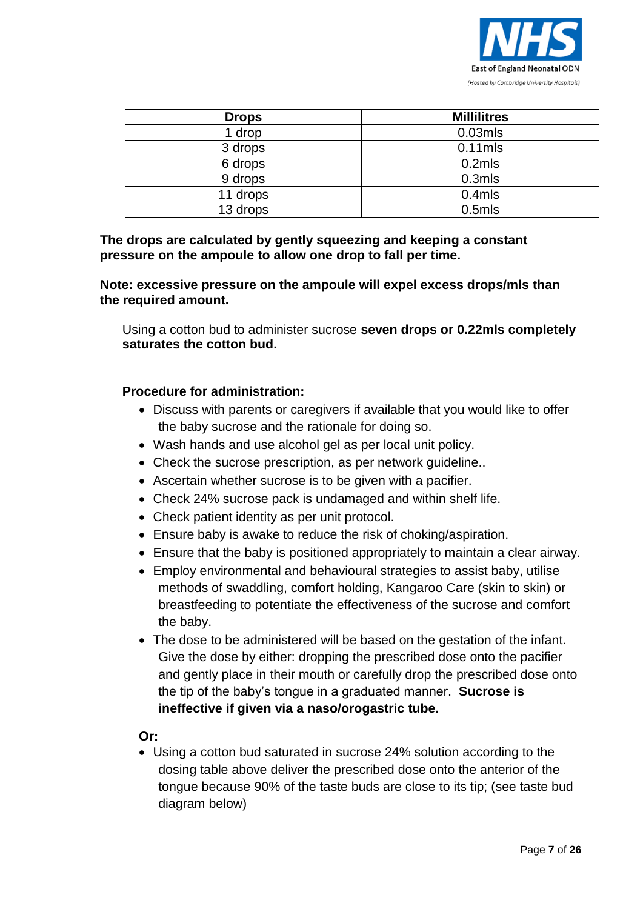

| <b>Drops</b> | <b>Millilitres</b> |
|--------------|--------------------|
| 1 drop       | $0.03$ mls         |
| 3 drops      | $0.11$ mls         |
| 6 drops      | 0.2 <sub>mls</sub> |
| 9 drops      | 0.3 <sub>mls</sub> |
| 11 drops     | 0.4 <sub>mls</sub> |
| 13 drops     | 0.5 <sub>mls</sub> |

### **The drops are calculated by gently squeezing and keeping a constant pressure on the ampoule to allow one drop to fall per time.**

#### **Note: excessive pressure on the ampoule will expel excess drops/mls than the required amount.**

Using a cotton bud to administer sucrose **seven drops or 0.22mls completely saturates the cotton bud.**

### **Procedure for administration:**

- Discuss with parents or caregivers if available that you would like to offer the baby sucrose and the rationale for doing so.
- Wash hands and use alcohol gel as per local unit policy.
- Check the sucrose prescription, as per network guideline...
- Ascertain whether sucrose is to be given with a pacifier.
- Check 24% sucrose pack is undamaged and within shelf life.
- Check patient identity as per unit protocol.
- Ensure baby is awake to reduce the risk of choking/aspiration.
- Ensure that the baby is positioned appropriately to maintain a clear airway.
- Employ environmental and behavioural strategies to assist baby, utilise methods of swaddling, comfort holding, Kangaroo Care (skin to skin) or breastfeeding to potentiate the effectiveness of the sucrose and comfort the baby.
- The dose to be administered will be based on the gestation of the infant. Give the dose by either: dropping the prescribed dose onto the pacifier and gently place in their mouth or carefully drop the prescribed dose onto the tip of the baby's tongue in a graduated manner. **Sucrose is ineffective if given via a naso/orogastric tube.**

**Or:**

 Using a cotton bud saturated in sucrose 24% solution according to the dosing table above deliver the prescribed dose onto the anterior of the tongue because 90% of the taste buds are close to its tip; (see taste bud diagram below)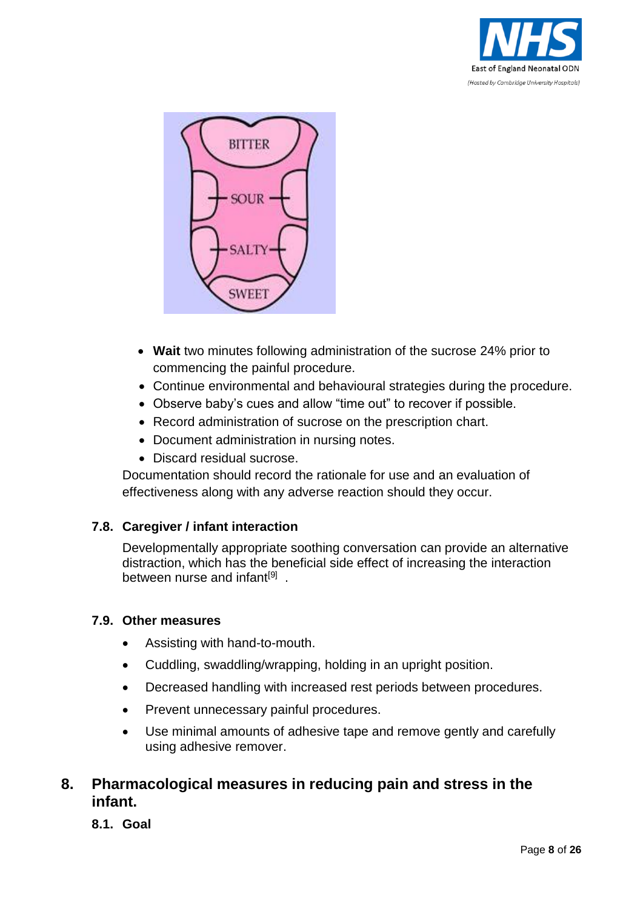



- **Wait** two minutes following administration of the sucrose 24% prior to commencing the painful procedure.
- Continue environmental and behavioural strategies during the procedure.
- Observe baby's cues and allow "time out" to recover if possible.
- Record administration of sucrose on the prescription chart.
- Document administration in nursing notes.
- Discard residual sucrose.

Documentation should record the rationale for use and an evaluation of effectiveness along with any adverse reaction should they occur.

## **7.8. Caregiver / infant interaction**

Developmentally appropriate soothing conversation can provide an alternative distraction, which has the beneficial side effect of increasing the interaction between nurse and infant<sup>[9]</sup>.

## **7.9. Other measures**

- Assisting with hand-to-mouth.
- Cuddling, swaddling/wrapping, holding in an upright position.
- Decreased handling with increased rest periods between procedures.
- Prevent unnecessary painful procedures.
- Use minimal amounts of adhesive tape and remove gently and carefully using adhesive remover.

## **8. Pharmacological measures in reducing pain and stress in the infant.**

**8.1. Goal**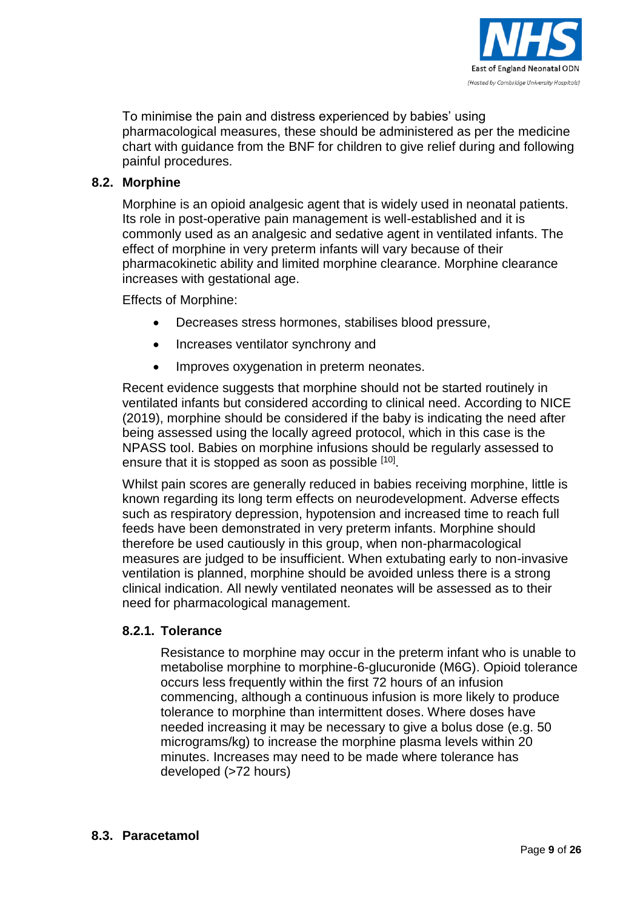

To minimise the pain and distress experienced by babies' using pharmacological measures, these should be administered as per the medicine chart with guidance from the BNF for children to give relief during and following painful procedures.

### **8.2. Morphine**

Morphine is an opioid analgesic agent that is widely used in neonatal patients. Its role in post-operative pain management is well-established and it is commonly used as an analgesic and sedative agent in ventilated infants. The effect of morphine in very preterm infants will vary because of their pharmacokinetic ability and limited morphine clearance. Morphine clearance increases with gestational age.

Effects of Morphine:

- Decreases stress hormones, stabilises blood pressure,
- Increases ventilator synchrony and
- Improves oxygenation in preterm neonates.

Recent evidence suggests that morphine should not be started routinely in ventilated infants but considered according to clinical need. According to NICE (2019), morphine should be considered if the baby is indicating the need after being assessed using the locally agreed protocol, which in this case is the NPASS tool. Babies on morphine infusions should be regularly assessed to ensure that it is stopped as soon as possible [10].

Whilst pain scores are generally reduced in babies receiving morphine, little is known regarding its long term effects on neurodevelopment. Adverse effects such as respiratory depression, hypotension and increased time to reach full feeds have been demonstrated in very preterm infants. Morphine should therefore be used cautiously in this group, when non-pharmacological measures are judged to be insufficient. When extubating early to non-invasive ventilation is planned, morphine should be avoided unless there is a strong clinical indication. All newly ventilated neonates will be assessed as to their need for pharmacological management.

### **8.2.1. Tolerance**

Resistance to morphine may occur in the preterm infant who is unable to metabolise morphine to morphine-6-glucuronide (M6G). Opioid tolerance occurs less frequently within the first 72 hours of an infusion commencing, although a continuous infusion is more likely to produce tolerance to morphine than intermittent doses. Where doses have needed increasing it may be necessary to give a bolus dose (e.g. 50 micrograms/kg) to increase the morphine plasma levels within 20 minutes. Increases may need to be made where tolerance has developed (>72 hours)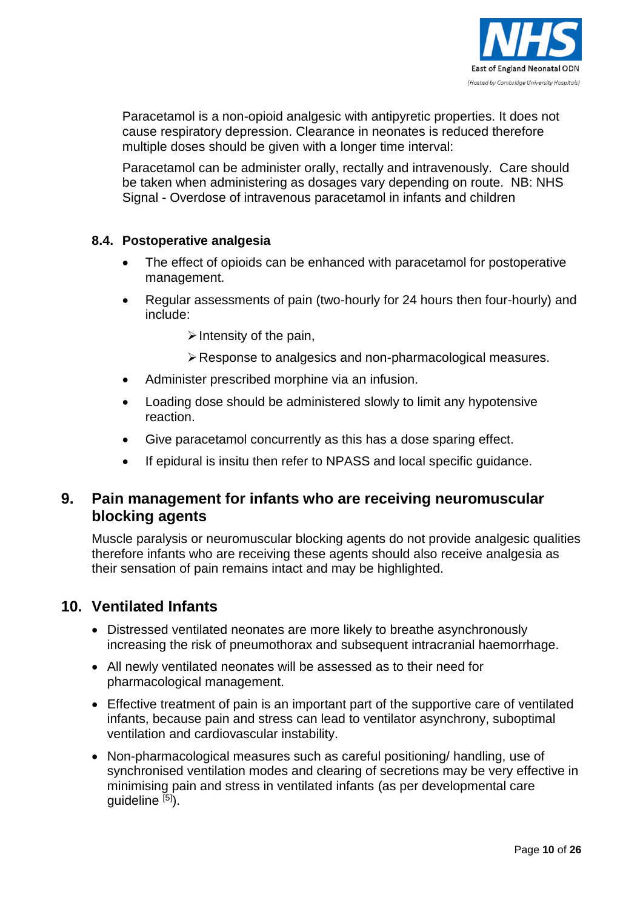

Paracetamol is a non-opioid analgesic with antipyretic properties. It does not cause respiratory depression. Clearance in neonates is reduced therefore multiple doses should be given with a longer time interval:

Paracetamol can be administer orally, rectally and intravenously. Care should be taken when administering as dosages vary depending on route. NB: NHS Signal - Overdose of intravenous paracetamol in infants and children

### **8.4. Postoperative analgesia**

- The effect of opioids can be enhanced with paracetamol for postoperative management.
- Regular assessments of pain (two-hourly for 24 hours then four-hourly) and include:
	- $\triangleright$  Intensity of the pain,
	- Response to analgesics and non-pharmacological measures.
- Administer prescribed morphine via an infusion.
- Loading dose should be administered slowly to limit any hypotensive reaction.
- Give paracetamol concurrently as this has a dose sparing effect.
- If epidural is insitu then refer to NPASS and local specific guidance.

## **9. Pain management for infants who are receiving neuromuscular blocking agents**

Muscle paralysis or neuromuscular blocking agents do not provide analgesic qualities therefore infants who are receiving these agents should also receive analgesia as their sensation of pain remains intact and may be highlighted.

## **10. Ventilated Infants**

- Distressed ventilated neonates are more likely to breathe asynchronously increasing the risk of pneumothorax and subsequent intracranial haemorrhage.
- All newly ventilated neonates will be assessed as to their need for pharmacological management.
- Effective treatment of pain is an important part of the supportive care of ventilated infants, because pain and stress can lead to ventilator asynchrony, suboptimal ventilation and cardiovascular instability.
- Non-pharmacological measures such as careful positioning/ handling, use of synchronised ventilation modes and clearing of secretions may be very effective in minimising pain and stress in ventilated infants (as per developmental care quideline [5]).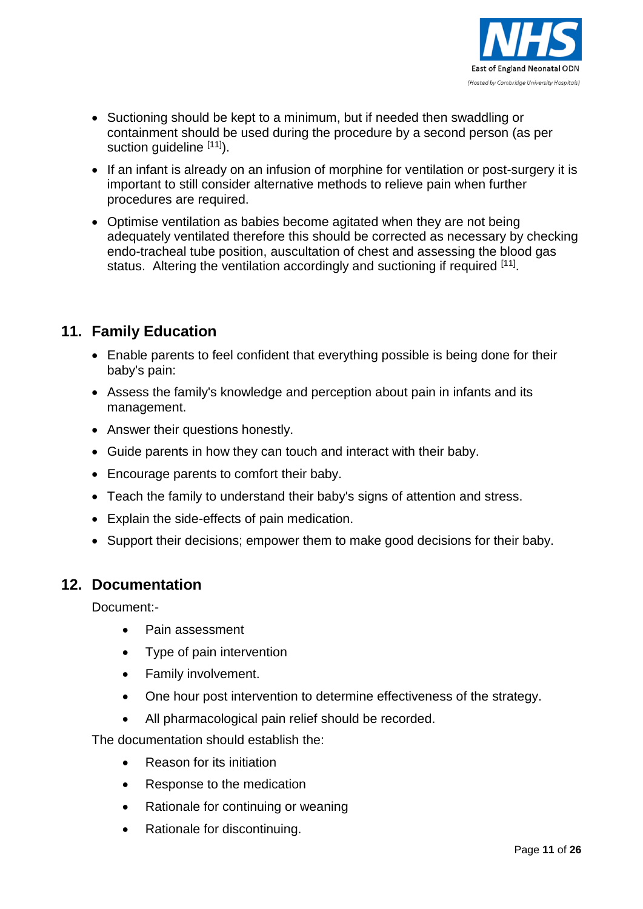

- Suctioning should be kept to a minimum, but if needed then swaddling or containment should be used during the procedure by a second person (as per suction guideline [11]).
- If an infant is already on an infusion of morphine for ventilation or post-surgery it is important to still consider alternative methods to relieve pain when further procedures are required.
- Optimise ventilation as babies become agitated when they are not being adequately ventilated therefore this should be corrected as necessary by checking endo-tracheal tube position, auscultation of chest and assessing the blood gas status. Altering the ventilation accordingly and suctioning if required [11].

## **11. Family Education**

- Enable parents to feel confident that everything possible is being done for their baby's pain:
- Assess the family's knowledge and perception about pain in infants and its management.
- Answer their questions honestly.
- Guide parents in how they can touch and interact with their baby.
- Encourage parents to comfort their baby.
- Teach the family to understand their baby's signs of attention and stress.
- Explain the side-effects of pain medication.
- Support their decisions; empower them to make good decisions for their baby.

## **12. Documentation**

Document:-

- Pain assessment
- Type of pain intervention
- Family involvement.
- One hour post intervention to determine effectiveness of the strategy.
- All pharmacological pain relief should be recorded.

The documentation should establish the:

- Reason for its initiation
- Response to the medication
- Rationale for continuing or weaning
- Rationale for discontinuing.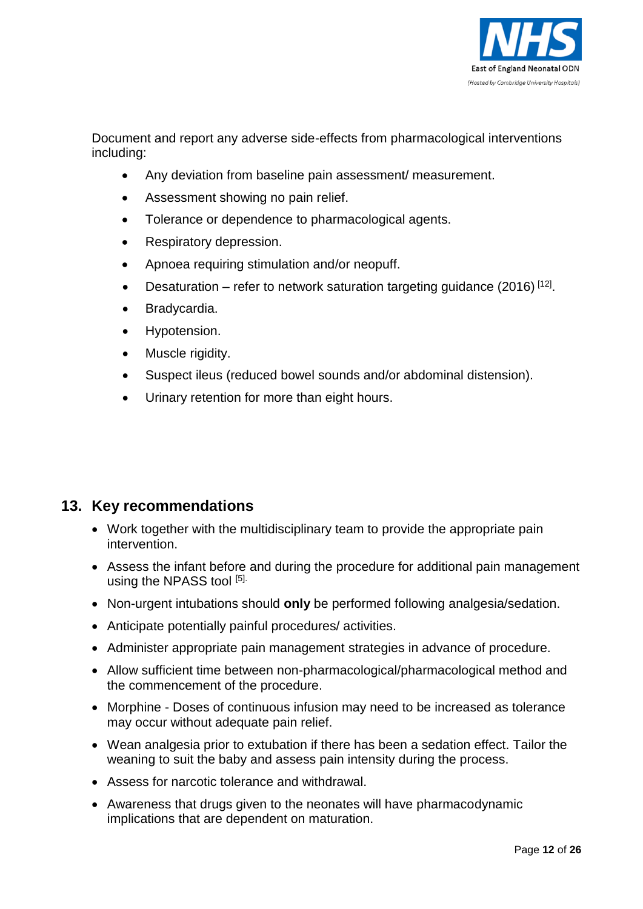

Document and report any adverse side-effects from pharmacological interventions including:

- Any deviation from baseline pain assessment/ measurement.
- Assessment showing no pain relief.
- Tolerance or dependence to pharmacological agents.
- Respiratory depression.
- Apnoea requiring stimulation and/or neopuff.
- Desaturation refer to network saturation targeting guidance (2016)  $[12]$ .
- Bradycardia.
- Hypotension.
- Muscle rigidity.
- Suspect ileus (reduced bowel sounds and/or abdominal distension).
- Urinary retention for more than eight hours.

## **13. Key recommendations**

- Work together with the multidisciplinary team to provide the appropriate pain intervention.
- Assess the infant before and during the procedure for additional pain management using the NPASS tool [5].
- Non-urgent intubations should **only** be performed following analgesia/sedation.
- Anticipate potentially painful procedures/ activities.
- Administer appropriate pain management strategies in advance of procedure.
- Allow sufficient time between non-pharmacological/pharmacological method and the commencement of the procedure.
- Morphine Doses of continuous infusion may need to be increased as tolerance may occur without adequate pain relief.
- Wean analgesia prior to extubation if there has been a sedation effect. Tailor the weaning to suit the baby and assess pain intensity during the process.
- Assess for narcotic tolerance and withdrawal.
- Awareness that drugs given to the neonates will have pharmacodynamic implications that are dependent on maturation.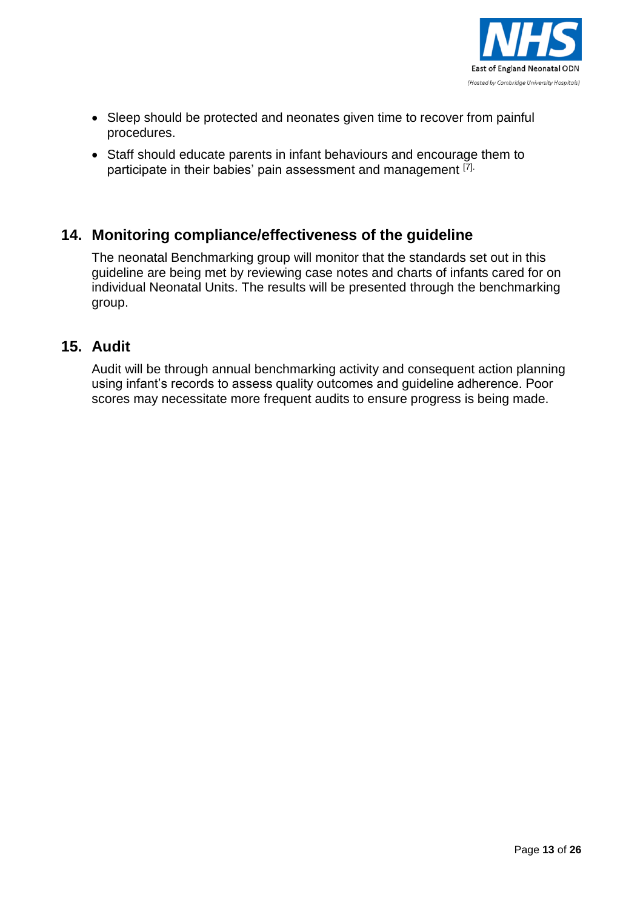

- Sleep should be protected and neonates given time to recover from painful procedures.
- Staff should educate parents in infant behaviours and encourage them to participate in their babies' pain assessment and management [7].

## **14. Monitoring compliance/effectiveness of the guideline**

The neonatal Benchmarking group will monitor that the standards set out in this guideline are being met by reviewing case notes and charts of infants cared for on individual Neonatal Units. The results will be presented through the benchmarking group.

## **15. Audit**

Audit will be through annual benchmarking activity and consequent action planning using infant's records to assess quality outcomes and guideline adherence. Poor scores may necessitate more frequent audits to ensure progress is being made.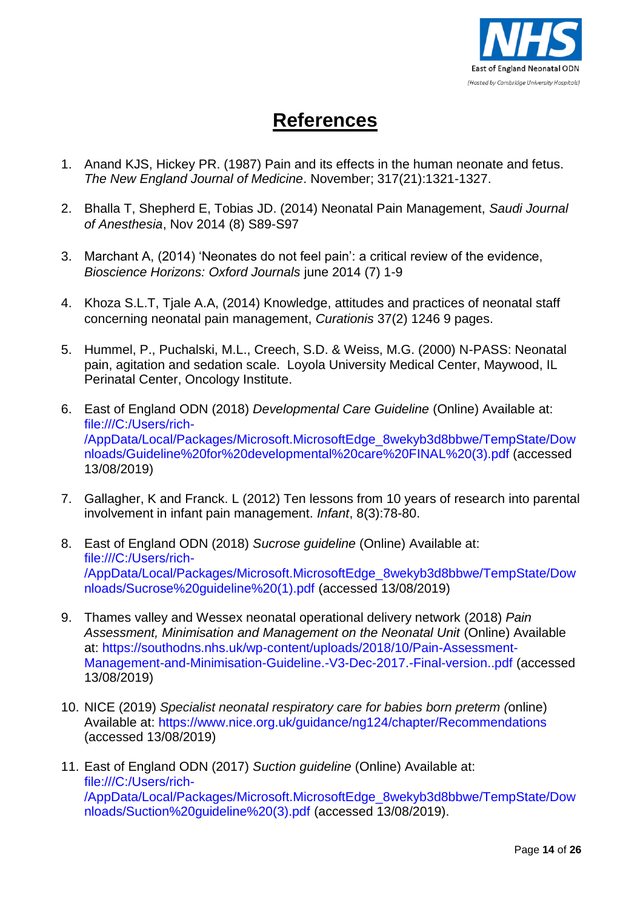

# **References**

- 1. Anand KJS, Hickey PR. (1987) Pain and its effects in the human neonate and fetus. *The New England Journal of Medicine*. November; 317(21):1321-1327.
- 2. Bhalla T, Shepherd E, Tobias JD. (2014) Neonatal Pain Management, *Saudi Journal of Anesthesia*, Nov 2014 (8) S89-S97
- 3. Marchant A, (2014) 'Neonates do not feel pain': a critical review of the evidence, *Bioscience Horizons: Oxford Journals* june 2014 (7) 1-9
- 4. Khoza S.L.T, Tjale A.A, (2014) Knowledge, attitudes and practices of neonatal staff concerning neonatal pain management, *Curationis* 37(2) 1246 9 pages.
- 5. Hummel, P., Puchalski, M.L., Creech, S.D. & Weiss, M.G. (2000) N-PASS: Neonatal pain, agitation and sedation scale. Loyola University Medical Center, Maywood, IL Perinatal Center, Oncology Institute.
- 6. East of England ODN (2018) *Developmental Care Guideline* (Online) Available at: [file:///C:/Users/rich-](file://///ukdxa04sfsrv003.a04.dt21.svcs.hp.com/users/AppData/Local/AppData/Local/Packages/Microsoft.MicrosoftEdge_8wekyb3d8bbwe/TempState/Downloads/Guideline%20for%20developmental%20care%20FINAL%20(3).pdf) [/AppData/Local/Packages/Microsoft.MicrosoftEdge\\_8wekyb3d8bbwe/TempState/Dow](file://///ukdxa04sfsrv003.a04.dt21.svcs.hp.com/users/AppData/Local/AppData/Local/Packages/Microsoft.MicrosoftEdge_8wekyb3d8bbwe/TempState/Downloads/Guideline%20for%20developmental%20care%20FINAL%20(3).pdf) [nloads/Guideline%20for%20developmental%20care%20FINAL%20\(3\).pdf](file://///ukdxa04sfsrv003.a04.dt21.svcs.hp.com/users/AppData/Local/AppData/Local/Packages/Microsoft.MicrosoftEdge_8wekyb3d8bbwe/TempState/Downloads/Guideline%20for%20developmental%20care%20FINAL%20(3).pdf) (accessed 13/08/2019)
- 7. Gallagher, K and Franck. L (2012) Ten lessons from 10 years of research into parental involvement in infant pain management. *Infant*, 8(3):78-80.
- 8. East of England ODN (2018) *Sucrose guideline* (Online) Available at: [file:///C:/Users/rich-](file://///ukdxa04sfsrv003.a04.dt21.svcs.hp.com/users/AppData/Local/AppData/Local/Packages/Microsoft.MicrosoftEdge_8wekyb3d8bbwe/TempState/Downloads/Sucrose%20guideline%20(1).pdf) [/AppData/Local/Packages/Microsoft.MicrosoftEdge\\_8wekyb3d8bbwe/TempState/Dow](file://///ukdxa04sfsrv003.a04.dt21.svcs.hp.com/users/AppData/Local/AppData/Local/Packages/Microsoft.MicrosoftEdge_8wekyb3d8bbwe/TempState/Downloads/Sucrose%20guideline%20(1).pdf) [nloads/Sucrose%20guideline%20\(1\).pdf](file://///ukdxa04sfsrv003.a04.dt21.svcs.hp.com/users/AppData/Local/AppData/Local/Packages/Microsoft.MicrosoftEdge_8wekyb3d8bbwe/TempState/Downloads/Sucrose%20guideline%20(1).pdf) (accessed 13/08/2019)
- 9. Thames valley and Wessex neonatal operational delivery network (2018) *Pain Assessment, Minimisation and Management on the Neonatal Unit* (Online) Available at: [https://southodns.nhs.uk/wp-content/uploads/2018/10/Pain-Assessment-](https://southodns.nhs.uk/wp-content/uploads/2018/10/Pain-Assessment-Management-and-Minimisation-Guideline.-V3-Dec-2017.-Final-version..pdf)[Management-and-Minimisation-Guideline.-V3-Dec-2017.-Final-version..pdf](https://southodns.nhs.uk/wp-content/uploads/2018/10/Pain-Assessment-Management-and-Minimisation-Guideline.-V3-Dec-2017.-Final-version..pdf) (accessed 13/08/2019)
- 10. NICE (2019) *Specialist neonatal respiratory care for babies born preterm (*online) Available at:<https://www.nice.org.uk/guidance/ng124/chapter/Recommendations> (accessed 13/08/2019)
- 11. East of England ODN (2017) *Suction guideline* (Online) Available at: [file:///C:/Users/rich-](file://///ukdxa04sfsrv003.a04.dt21.svcs.hp.com/users/AppData/Local/AppData/Local/Packages/Microsoft.MicrosoftEdge_8wekyb3d8bbwe/TempState/Downloads/Suction%20guideline%20(3).pdf) [/AppData/Local/Packages/Microsoft.MicrosoftEdge\\_8wekyb3d8bbwe/TempState/Dow](file://///ukdxa04sfsrv003.a04.dt21.svcs.hp.com/users/AppData/Local/AppData/Local/Packages/Microsoft.MicrosoftEdge_8wekyb3d8bbwe/TempState/Downloads/Suction%20guideline%20(3).pdf) [nloads/Suction%20guideline%20\(3\).pdf](file://///ukdxa04sfsrv003.a04.dt21.svcs.hp.com/users/AppData/Local/AppData/Local/Packages/Microsoft.MicrosoftEdge_8wekyb3d8bbwe/TempState/Downloads/Suction%20guideline%20(3).pdf) (accessed 13/08/2019).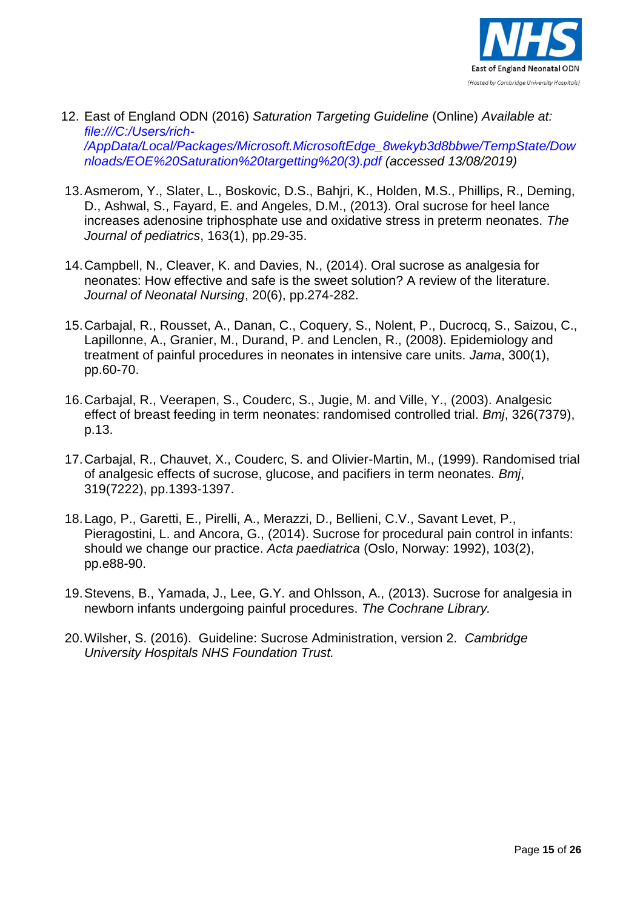

- 12. East of England ODN (2016) *Saturation Targeting Guideline* (Online) *Available at: [file:///C:/Users/rich-](file://///ukdxa04sfsrv003.a04.dt21.svcs.hp.com/users/AppData/Local/AppData/Local/Packages/Microsoft.MicrosoftEdge_8wekyb3d8bbwe/TempState/Downloads/EOE%20Saturation%20targetting%20(3).pdf) [/AppData/Local/Packages/Microsoft.MicrosoftEdge\\_8wekyb3d8bbwe/TempState/Dow](file://///ukdxa04sfsrv003.a04.dt21.svcs.hp.com/users/AppData/Local/AppData/Local/Packages/Microsoft.MicrosoftEdge_8wekyb3d8bbwe/TempState/Downloads/EOE%20Saturation%20targetting%20(3).pdf) [nloads/EOE%20Saturation%20targetting%20\(3\).pdf](file://///ukdxa04sfsrv003.a04.dt21.svcs.hp.com/users/AppData/Local/AppData/Local/Packages/Microsoft.MicrosoftEdge_8wekyb3d8bbwe/TempState/Downloads/EOE%20Saturation%20targetting%20(3).pdf) (accessed 13/08/2019)*
- 13.Asmerom, Y., Slater, L., Boskovic, D.S., Bahjri, K., Holden, M.S., Phillips, R., Deming, D., Ashwal, S., Fayard, E. and Angeles, D.M., (2013). Oral sucrose for heel lance increases adenosine triphosphate use and oxidative stress in preterm neonates. *The Journal of pediatrics*, 163(1), pp.29-35.
- 14.Campbell, N., Cleaver, K. and Davies, N., (2014). Oral sucrose as analgesia for neonates: How effective and safe is the sweet solution? A review of the literature. *Journal of Neonatal Nursing*, 20(6), pp.274-282.
- 15.Carbajal, R., Rousset, A., Danan, C., Coquery, S., Nolent, P., Ducrocq, S., Saizou, C., Lapillonne, A., Granier, M., Durand, P. and Lenclen, R., (2008). Epidemiology and treatment of painful procedures in neonates in intensive care units. *Jama*, 300(1), pp.60-70.
- 16.Carbajal, R., Veerapen, S., Couderc, S., Jugie, M. and Ville, Y., (2003). Analgesic effect of breast feeding in term neonates: randomised controlled trial. *Bmj*, 326(7379), p.13.
- 17.Carbajal, R., Chauvet, X., Couderc, S. and Olivier-Martin, M., (1999). Randomised trial of analgesic effects of sucrose, glucose, and pacifiers in term neonates. *Bmj*, 319(7222), pp.1393-1397.
- 18.Lago, P., Garetti, E., Pirelli, A., Merazzi, D., Bellieni, C.V., Savant Levet, P., Pieragostini, L. and Ancora, G., (2014). Sucrose for procedural pain control in infants: should we change our practice. *Acta paediatrica* (Oslo, Norway: 1992), 103(2), pp.e88-90.
- 19.Stevens, B., Yamada, J., Lee, G.Y. and Ohlsson, A., (2013). Sucrose for analgesia in newborn infants undergoing painful procedures. *The Cochrane Library.*
- 20.Wilsher, S. (2016). Guideline: Sucrose Administration, version 2. *Cambridge University Hospitals NHS Foundation Trust.*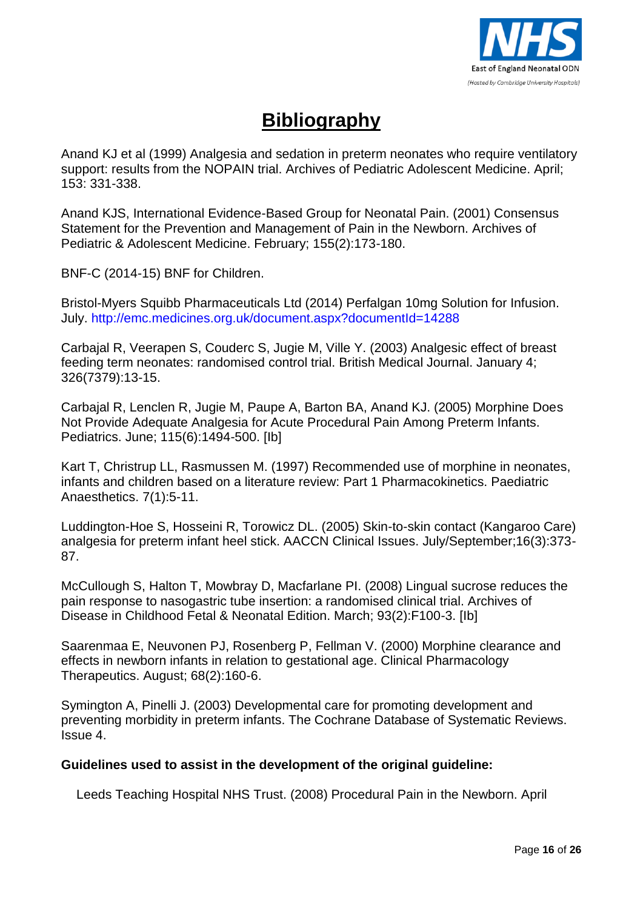

# **Bibliography**

Anand KJ et al (1999) Analgesia and sedation in preterm neonates who require ventilatory support: results from the NOPAIN trial. Archives of Pediatric Adolescent Medicine. April; 153: 331-338.

Anand KJS, International Evidence-Based Group for Neonatal Pain. (2001) Consensus Statement for the Prevention and Management of Pain in the Newborn. Archives of Pediatric & Adolescent Medicine. February; 155(2):173-180.

BNF-C (2014-15) BNF for Children.

Bristol-Myers Squibb Pharmaceuticals Ltd (2014) Perfalgan 10mg Solution for Infusion. July.<http://emc.medicines.org.uk/document.aspx?documentId=14288>

Carbajal R, Veerapen S, Couderc S, Jugie M, Ville Y. (2003) Analgesic effect of breast feeding term neonates: randomised control trial. British Medical Journal. January 4; 326(7379):13-15.

Carbajal R, Lenclen R, Jugie M, Paupe A, Barton BA, Anand KJ. (2005) Morphine Does Not Provide Adequate Analgesia for Acute Procedural Pain Among Preterm Infants. Pediatrics. June; 115(6):1494-500. [Ib]

Kart T, Christrup LL, Rasmussen M. (1997) Recommended use of morphine in neonates, infants and children based on a literature review: Part 1 Pharmacokinetics. Paediatric Anaesthetics. 7(1):5-11.

Luddington-Hoe S, Hosseini R, Torowicz DL. (2005) Skin-to-skin contact (Kangaroo Care) analgesia for preterm infant heel stick. AACCN Clinical Issues. July/September;16(3):373- 87.

McCullough S, Halton T, Mowbray D, Macfarlane PI. (2008) Lingual sucrose reduces the pain response to nasogastric tube insertion: a randomised clinical trial. Archives of Disease in Childhood Fetal & Neonatal Edition. March; 93(2):F100-3. [Ib]

Saarenmaa E, Neuvonen PJ, Rosenberg P, Fellman V. (2000) Morphine clearance and effects in newborn infants in relation to gestational age. Clinical Pharmacology Therapeutics. August; 68(2):160-6.

Symington A, Pinelli J. (2003) Developmental care for promoting development and preventing morbidity in preterm infants. The Cochrane Database of Systematic Reviews. Issue 4.

#### **Guidelines used to assist in the development of the original guideline:**

Leeds Teaching Hospital NHS Trust. (2008) Procedural Pain in the Newborn. April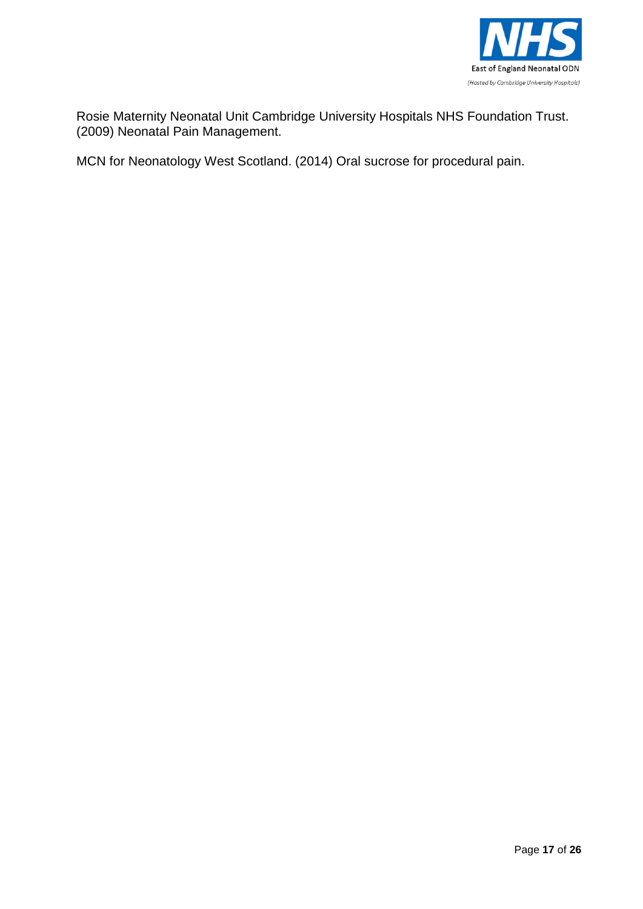

Rosie Maternity Neonatal Unit Cambridge University Hospitals NHS Foundation Trust. (2009) Neonatal Pain Management.

MCN for Neonatology West Scotland. (2014) Oral sucrose for procedural pain.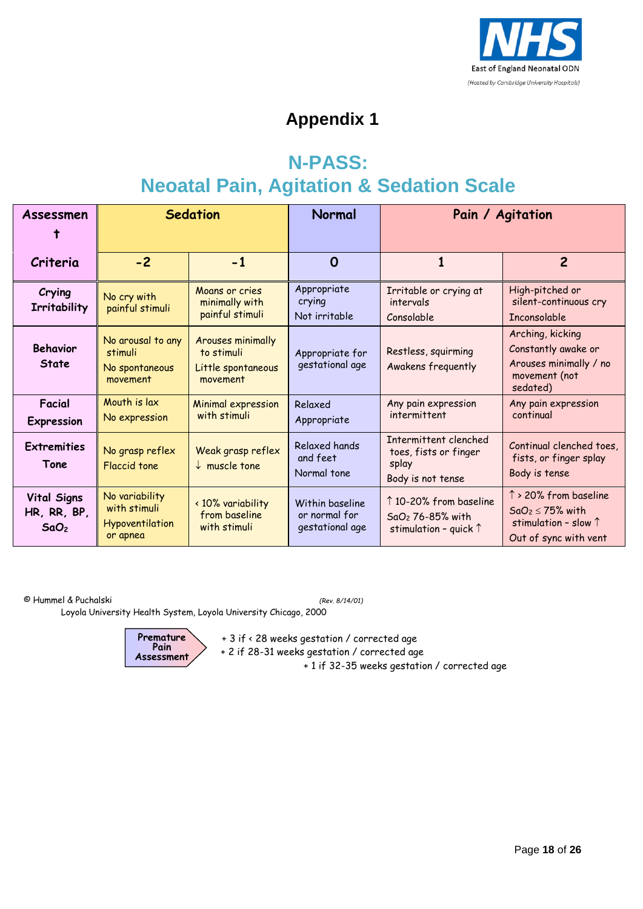

# **Appendix 1**

# **N-PASS: Neoatal Pain, Agitation & Sedation Scale**

| Assessmen                                             | <b>Sedation</b>                                               |                                                                   | Normal                                              | Pain / Agitation                                                                         |                                                                                                           |
|-------------------------------------------------------|---------------------------------------------------------------|-------------------------------------------------------------------|-----------------------------------------------------|------------------------------------------------------------------------------------------|-----------------------------------------------------------------------------------------------------------|
| Criteria                                              | $-2$                                                          | $-1$                                                              | $\Omega$                                            |                                                                                          | $\overline{2}$                                                                                            |
| Crying<br><b>Irritability</b>                         | No cry with<br>painful stimuli                                | Moans or cries<br>minimally with<br>painful stimuli               | Appropriate<br>crying<br>Not irritable              | Irritable or crying at<br>intervals<br>Consolable                                        | High-pitched or<br>silent-continuous cry<br><b>Inconsolable</b>                                           |
| <b>Behavior</b><br><b>State</b>                       | No arousal to any<br>stimuli<br>No spontaneous<br>movement    | Arouses minimally<br>to stimuli<br>Little spontaneous<br>movement | Appropriate for<br>gestational age                  | Restless, squirming<br>Awakens frequently                                                | Arching, kicking<br>Constantly awake or<br>Arouses minimally / no<br>movement (not<br>sedated)            |
| <b>Facial</b><br><b>Expression</b>                    | Mouth is lax<br>No expression                                 | <b>Minimal expression</b><br>with stimuli                         | Relaxed<br>Appropriate                              | Any pain expression<br>intermittent                                                      | Any pain expression<br>continual                                                                          |
| <b>Extremities</b><br>Tone                            | No grasp reflex<br><b>Flaccid tone</b>                        | Weak grasp reflex<br>$\downarrow$ muscle tone                     | Relaxed hands<br>and feet<br>Normal tone            | Intermittent clenched<br>toes, fists or finger<br>splay<br>Body is not tense             | Continual clenched toes,<br>fists, or finger splay<br>Body is tense                                       |
| <b>Vital Signs</b><br>HR, RR, BP,<br>SaO <sub>2</sub> | No variability<br>with stimuli<br>Hypoventilation<br>or apnea | < 10% variability<br>from baseline<br>with stimuli                | Within baseline<br>or normal for<br>gestational age | ↑ 10-20% from baseline<br>SaO <sub>2</sub> 76-85% with<br>stimulation - quick $\uparrow$ | ↑ > 20% from baseline<br>$SaO_2 \leq 75\%$ with<br>stimulation - slow $\uparrow$<br>Out of sync with vent |

© Hummel & Puchalski *(Rev. 8/14/01)*

Loyola University Health System, Loyola University Chicago, 2000



+ 3 if < 28 weeks gestation / corrected age

+ 2 if 28-31 weeks gestation / corrected age

+ 1 if 32-35 weeks gestation / corrected age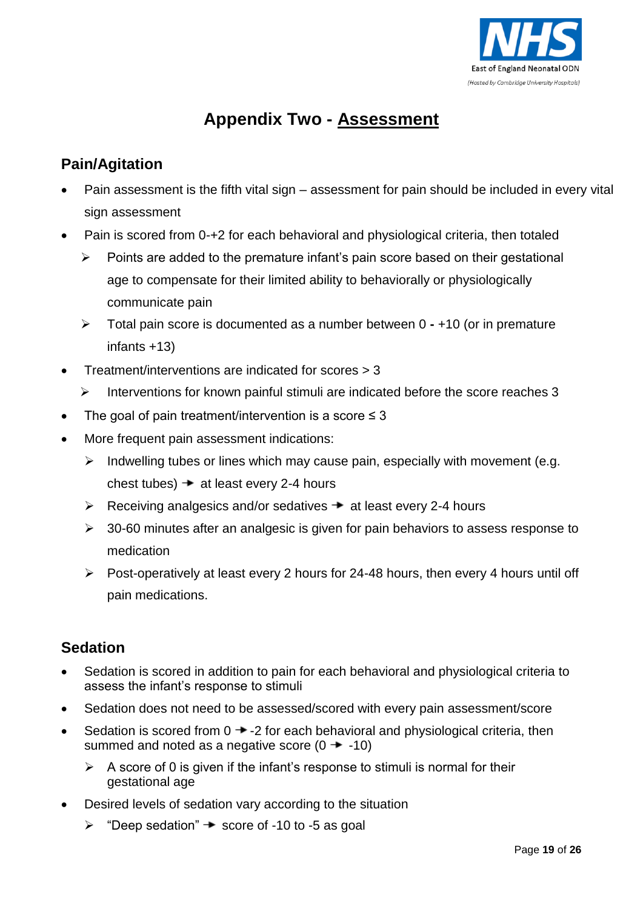

# **Appendix Two - Assessment**

## **Pain/Agitation**

- Pain assessment is the fifth vital sign assessment for pain should be included in every vital sign assessment
- Pain is scored from 0-+2 for each behavioral and physiological criteria, then totaled
	- $\triangleright$  Points are added to the premature infant's pain score based on their gestational age to compensate for their limited ability to behaviorally or physiologically communicate pain
	- Total pain score is documented as a number between 0 **-** +10 (or in premature infants +13)
- Treatment/interventions are indicated for scores > 3
	- $\triangleright$  Interventions for known painful stimuli are indicated before the score reaches 3
- The goal of pain treatment/intervention is a score  $\leq 3$
- More frequent pain assessment indications:
	- $\triangleright$  Indwelling tubes or lines which may cause pain, especially with movement (e.g. chest tubes)  $\rightarrow$  at least every 2-4 hours
	- $\triangleright$  Receiving analgesics and/or sedatives  $\rightarrow$  at least every 2-4 hours
	- $\geq$  30-60 minutes after an analgesic is given for pain behaviors to assess response to medication
	- $\triangleright$  Post-operatively at least every 2 hours for 24-48 hours, then every 4 hours until off pain medications.

## **Sedation**

- Sedation is scored in addition to pain for each behavioral and physiological criteria to assess the infant's response to stimuli
- Sedation does not need to be assessed/scored with every pain assessment/score
- Sedation is scored from  $0 \rightarrow -2$  for each behavioral and physiological criteria, then summed and noted as a negative score  $(0 \rightarrow -10)$ 
	- $\triangleright$  A score of 0 is given if the infant's response to stimuli is normal for their gestational age
- Desired levels of sedation vary according to the situation
	- $\triangleright$  "Deep sedation"  $\rightarrow$  score of -10 to -5 as goal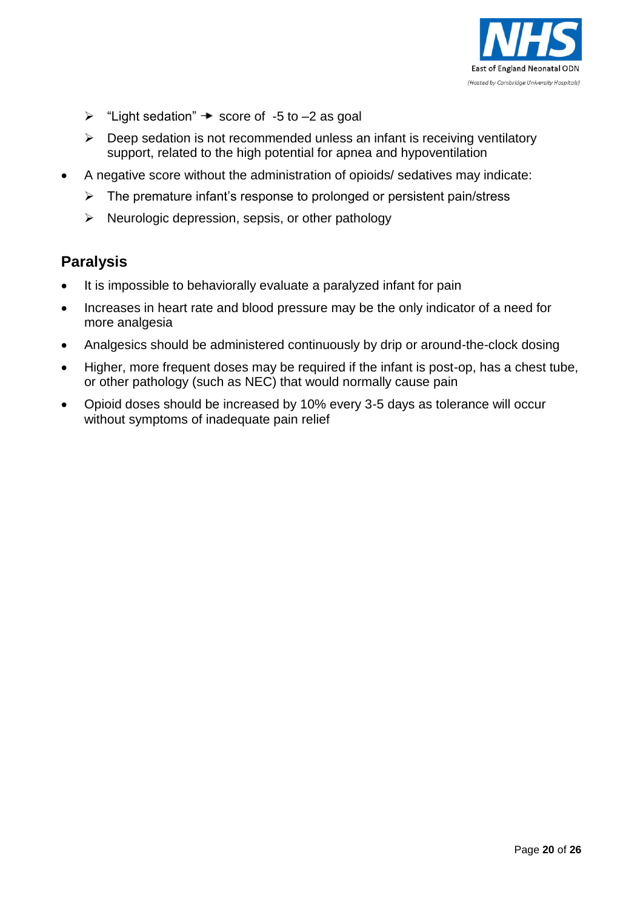

- $\triangleright$  "Light sedation"  $\rightarrow$  score of -5 to -2 as goal
- $\triangleright$  Deep sedation is not recommended unless an infant is receiving ventilatory support, related to the high potential for apnea and hypoventilation
- A negative score without the administration of opioids/ sedatives may indicate:
	- $\triangleright$  The premature infant's response to prolonged or persistent pain/stress
	- $\triangleright$  Neurologic depression, sepsis, or other pathology

## **Paralysis**

- It is impossible to behaviorally evaluate a paralyzed infant for pain
- Increases in heart rate and blood pressure may be the only indicator of a need for more analgesia
- Analgesics should be administered continuously by drip or around-the-clock dosing
- Higher, more frequent doses may be required if the infant is post-op, has a chest tube, or other pathology (such as NEC) that would normally cause pain
- Opioid doses should be increased by 10% every 3-5 days as tolerance will occur without symptoms of inadequate pain relief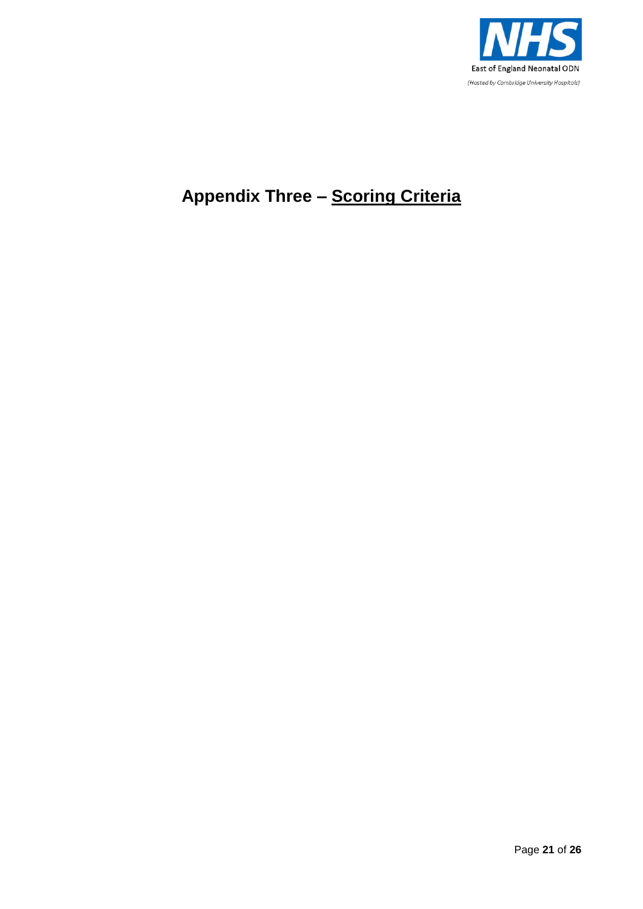

# **Appendix Three – Scoring Criteria**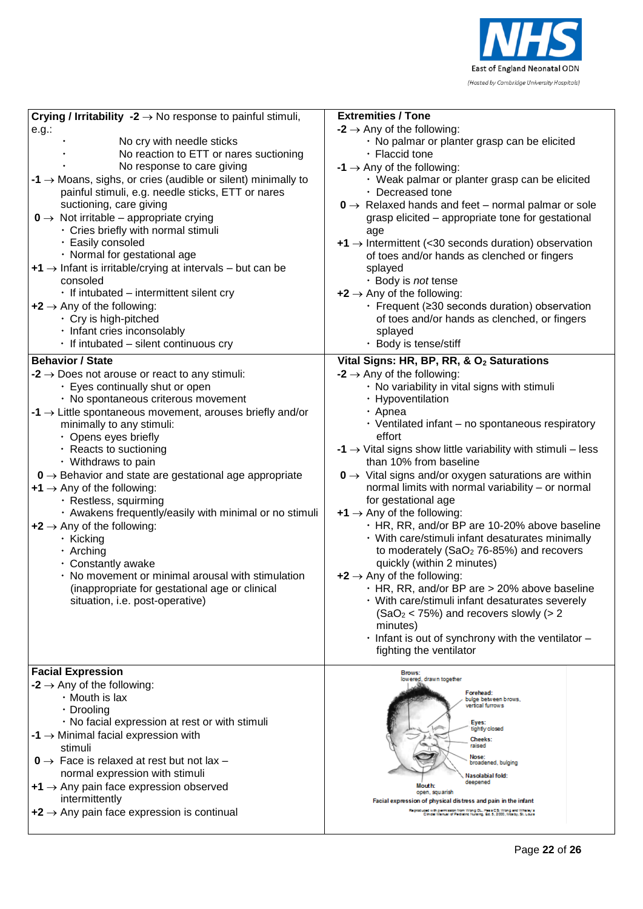

| Crying / Irritability -2 $\rightarrow$ No response to painful stimuli,                                                                                                                                                                                                                                                                                                                                                                                                                                                                                                                                                                                                                                                                                           | <b>Extremities / Tone</b>                                                                                                                                                                                                                                                                                                                                                                                                                                                                                                                                                                                                                                                                                                                                                                                                                                                                                                                                                            |
|------------------------------------------------------------------------------------------------------------------------------------------------------------------------------------------------------------------------------------------------------------------------------------------------------------------------------------------------------------------------------------------------------------------------------------------------------------------------------------------------------------------------------------------------------------------------------------------------------------------------------------------------------------------------------------------------------------------------------------------------------------------|--------------------------------------------------------------------------------------------------------------------------------------------------------------------------------------------------------------------------------------------------------------------------------------------------------------------------------------------------------------------------------------------------------------------------------------------------------------------------------------------------------------------------------------------------------------------------------------------------------------------------------------------------------------------------------------------------------------------------------------------------------------------------------------------------------------------------------------------------------------------------------------------------------------------------------------------------------------------------------------|
| $e.g.$ :                                                                                                                                                                                                                                                                                                                                                                                                                                                                                                                                                                                                                                                                                                                                                         | $-2 \rightarrow$ Any of the following:                                                                                                                                                                                                                                                                                                                                                                                                                                                                                                                                                                                                                                                                                                                                                                                                                                                                                                                                               |
| No cry with needle sticks                                                                                                                                                                                                                                                                                                                                                                                                                                                                                                                                                                                                                                                                                                                                        | · No palmar or planter grasp can be elicited                                                                                                                                                                                                                                                                                                                                                                                                                                                                                                                                                                                                                                                                                                                                                                                                                                                                                                                                         |
| No reaction to ETT or nares suctioning                                                                                                                                                                                                                                                                                                                                                                                                                                                                                                                                                                                                                                                                                                                           | · Flaccid tone                                                                                                                                                                                                                                                                                                                                                                                                                                                                                                                                                                                                                                                                                                                                                                                                                                                                                                                                                                       |
| No response to care giving                                                                                                                                                                                                                                                                                                                                                                                                                                                                                                                                                                                                                                                                                                                                       | $-1 \rightarrow$ Any of the following:                                                                                                                                                                                                                                                                                                                                                                                                                                                                                                                                                                                                                                                                                                                                                                                                                                                                                                                                               |
| $-1 \rightarrow$ Moans, sighs, or cries (audible or silent) minimally to                                                                                                                                                                                                                                                                                                                                                                                                                                                                                                                                                                                                                                                                                         | · Weak palmar or planter grasp can be elicited                                                                                                                                                                                                                                                                                                                                                                                                                                                                                                                                                                                                                                                                                                                                                                                                                                                                                                                                       |
| painful stimuli, e.g. needle sticks, ETT or nares                                                                                                                                                                                                                                                                                                                                                                                                                                                                                                                                                                                                                                                                                                                | · Decreased tone                                                                                                                                                                                                                                                                                                                                                                                                                                                                                                                                                                                                                                                                                                                                                                                                                                                                                                                                                                     |
| suctioning, care giving                                                                                                                                                                                                                                                                                                                                                                                                                                                                                                                                                                                                                                                                                                                                          | $0 \rightarrow$ Relaxed hands and feet – normal palmar or sole                                                                                                                                                                                                                                                                                                                                                                                                                                                                                                                                                                                                                                                                                                                                                                                                                                                                                                                       |
| $0 \rightarrow$ Not irritable – appropriate crying                                                                                                                                                                                                                                                                                                                                                                                                                                                                                                                                                                                                                                                                                                               | grasp elicited - appropriate tone for gestational                                                                                                                                                                                                                                                                                                                                                                                                                                                                                                                                                                                                                                                                                                                                                                                                                                                                                                                                    |
| · Cries briefly with normal stimuli                                                                                                                                                                                                                                                                                                                                                                                                                                                                                                                                                                                                                                                                                                                              | age                                                                                                                                                                                                                                                                                                                                                                                                                                                                                                                                                                                                                                                                                                                                                                                                                                                                                                                                                                                  |
| · Easily consoled                                                                                                                                                                                                                                                                                                                                                                                                                                                                                                                                                                                                                                                                                                                                                | $+1$ $\rightarrow$ Intermittent (<30 seconds duration) observation                                                                                                                                                                                                                                                                                                                                                                                                                                                                                                                                                                                                                                                                                                                                                                                                                                                                                                                   |
| · Normal for gestational age                                                                                                                                                                                                                                                                                                                                                                                                                                                                                                                                                                                                                                                                                                                                     | of toes and/or hands as clenched or fingers                                                                                                                                                                                                                                                                                                                                                                                                                                                                                                                                                                                                                                                                                                                                                                                                                                                                                                                                          |
| $+1$ $\rightarrow$ Infant is irritable/crying at intervals – but can be                                                                                                                                                                                                                                                                                                                                                                                                                                                                                                                                                                                                                                                                                          | splayed                                                                                                                                                                                                                                                                                                                                                                                                                                                                                                                                                                                                                                                                                                                                                                                                                                                                                                                                                                              |
| consoled                                                                                                                                                                                                                                                                                                                                                                                                                                                                                                                                                                                                                                                                                                                                                         | · Body is not tense                                                                                                                                                                                                                                                                                                                                                                                                                                                                                                                                                                                                                                                                                                                                                                                                                                                                                                                                                                  |
| $\cdot$ If intubated – intermittent silent cry                                                                                                                                                                                                                                                                                                                                                                                                                                                                                                                                                                                                                                                                                                                   | $+2 \rightarrow$ Any of the following:                                                                                                                                                                                                                                                                                                                                                                                                                                                                                                                                                                                                                                                                                                                                                                                                                                                                                                                                               |
| $+2 \rightarrow$ Any of the following:                                                                                                                                                                                                                                                                                                                                                                                                                                                                                                                                                                                                                                                                                                                           | . Frequent (≥30 seconds duration) observation                                                                                                                                                                                                                                                                                                                                                                                                                                                                                                                                                                                                                                                                                                                                                                                                                                                                                                                                        |
| · Cry is high-pitched                                                                                                                                                                                                                                                                                                                                                                                                                                                                                                                                                                                                                                                                                                                                            | of toes and/or hands as clenched, or fingers                                                                                                                                                                                                                                                                                                                                                                                                                                                                                                                                                                                                                                                                                                                                                                                                                                                                                                                                         |
| · Infant cries inconsolably                                                                                                                                                                                                                                                                                                                                                                                                                                                                                                                                                                                                                                                                                                                                      | splayed                                                                                                                                                                                                                                                                                                                                                                                                                                                                                                                                                                                                                                                                                                                                                                                                                                                                                                                                                                              |
| $\cdot$ If intubated – silent continuous cry                                                                                                                                                                                                                                                                                                                                                                                                                                                                                                                                                                                                                                                                                                                     | · Body is tense/stiff                                                                                                                                                                                                                                                                                                                                                                                                                                                                                                                                                                                                                                                                                                                                                                                                                                                                                                                                                                |
| <b>Behavior / State</b>                                                                                                                                                                                                                                                                                                                                                                                                                                                                                                                                                                                                                                                                                                                                          | Vital Signs: HR, BP, RR, & O <sub>2</sub> Saturations                                                                                                                                                                                                                                                                                                                                                                                                                                                                                                                                                                                                                                                                                                                                                                                                                                                                                                                                |
| -2 $\rightarrow$ Does not arouse or react to any stimuli:<br>• Eyes continually shut or open<br>· No spontaneous criterous movement<br>$-1 \rightarrow$ Little spontaneous movement, arouses briefly and/or<br>minimally to any stimuli:<br>· Opens eyes briefly<br>· Reacts to suctioning<br>• Withdraws to pain<br>$0 \rightarrow$ Behavior and state are gestational age appropriate<br>$+1$ $\rightarrow$ Any of the following:<br>· Restless, squirming<br>· Awakens frequently/easily with minimal or no stimuli<br>$+2 \rightarrow$ Any of the following:<br>· Kicking<br>$\cdot$ Arching<br>· Constantly awake<br>· No movement or minimal arousal with stimulation<br>(inappropriate for gestational age or clinical<br>situation, i.e. post-operative) | $-2 \rightarrow$ Any of the following:<br>· No variability in vital signs with stimuli<br>· Hypoventilation<br>· Apnea<br>$\cdot$ Ventilated infant – no spontaneous respiratory<br>effort<br>-1 $\rightarrow$ Vital signs show little variability with stimuli - less<br>than 10% from baseline<br>$0 \rightarrow$ Vital signs and/or oxygen saturations are within<br>normal limits with normal variability - or normal<br>for gestational age<br>$+1$ $\rightarrow$ Any of the following:<br>· HR, RR, and/or BP are 10-20% above baseline<br>· With care/stimuli infant desaturates minimally<br>to moderately (SaO <sub>2</sub> 76-85%) and recovers<br>quickly (within 2 minutes)<br>$+2 \rightarrow$ Any of the following:<br>. HR, RR, and/or BP are > 20% above baseline<br>· With care/stimuli infant desaturates severely<br>$(SaO2 < 75%)$ and recovers slowly (> 2<br>minutes)<br>$\cdot$ Infant is out of synchrony with the ventilator $-$<br>fighting the ventilator |
| <b>Facial Expression</b><br>$-2 \rightarrow$ Any of the following:<br>$\cdot$ Mouth is lax<br>· Drooling<br>· No facial expression at rest or with stimuli<br>$-1 \rightarrow$ Minimal facial expression with<br>stimuli<br>$0 \rightarrow$ Face is relaxed at rest but not lax -<br>normal expression with stimuli<br>$+1$ $\rightarrow$ Any pain face expression observed<br>intermittently<br>$+2 \rightarrow$ Any pain face expression is continual                                                                                                                                                                                                                                                                                                          | Brows:<br>lowered, drawn together<br>Forehead:<br>bulge between brows,<br>vertical furrows<br>Eyes:<br>tightly closed<br><b>Cheeks:</b><br>raised<br>Nose:<br>broadened, bulging<br>Nasolabial fold:<br>deepened<br>Mouth:<br>open, squarish<br>Facial expression of physical distress and pain in the infant<br>Reproduced with permission from Wong CL, Hess CS: Wong and Whaley's<br>Clinical Marsual of Pediatric Nursing, Ed. 5, 2000, Mosby, St. Louis                                                                                                                                                                                                                                                                                                                                                                                                                                                                                                                         |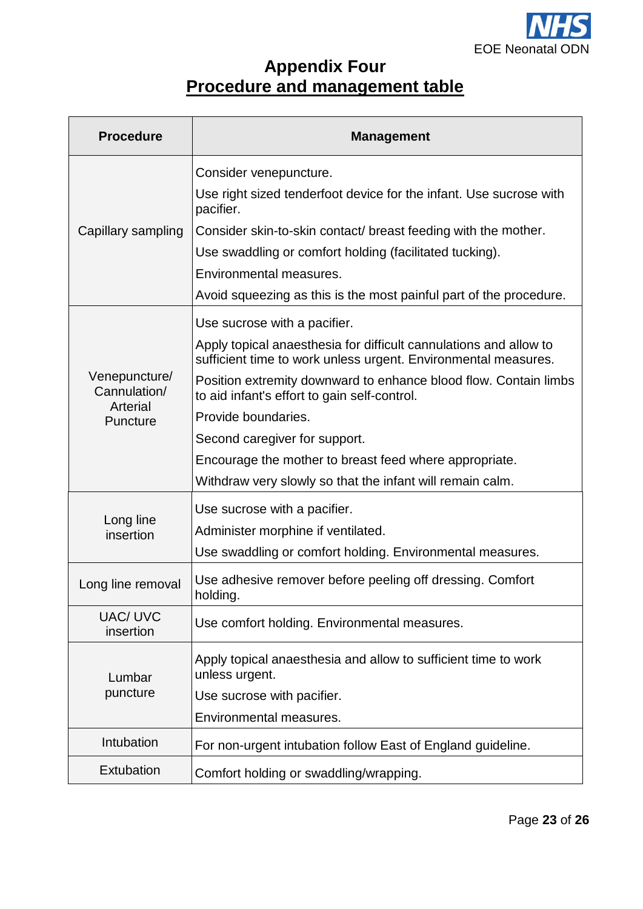

## **Appendix Four Procedure and management table**

| <b>Procedure</b>                                      | <b>Management</b>                                                                                                                   |
|-------------------------------------------------------|-------------------------------------------------------------------------------------------------------------------------------------|
|                                                       | Consider venepuncture.                                                                                                              |
|                                                       | Use right sized tenderfoot device for the infant. Use sucrose with<br>pacifier.                                                     |
| Capillary sampling                                    | Consider skin-to-skin contact/ breast feeding with the mother.                                                                      |
|                                                       | Use swaddling or comfort holding (facilitated tucking).                                                                             |
|                                                       | Environmental measures.                                                                                                             |
|                                                       | Avoid squeezing as this is the most painful part of the procedure.                                                                  |
|                                                       | Use sucrose with a pacifier.                                                                                                        |
| Venepuncture/<br>Cannulation/<br>Arterial<br>Puncture | Apply topical anaesthesia for difficult cannulations and allow to<br>sufficient time to work unless urgent. Environmental measures. |
|                                                       | Position extremity downward to enhance blood flow. Contain limbs<br>to aid infant's effort to gain self-control.                    |
|                                                       | Provide boundaries.                                                                                                                 |
|                                                       | Second caregiver for support.                                                                                                       |
|                                                       | Encourage the mother to breast feed where appropriate.                                                                              |
|                                                       | Withdraw very slowly so that the infant will remain calm.                                                                           |
|                                                       | Use sucrose with a pacifier.                                                                                                        |
| Long line<br>insertion                                | Administer morphine if ventilated.                                                                                                  |
|                                                       | Use swaddling or comfort holding. Environmental measures.                                                                           |
| Long line removal                                     | Use adhesive remover before peeling off dressing. Comfort<br>holding.                                                               |
| <b>UAC/ UVC</b><br>insertion                          | Use comfort holding. Environmental measures.                                                                                        |
| Lumbar<br>puncture                                    | Apply topical anaesthesia and allow to sufficient time to work<br>unless urgent.                                                    |
|                                                       | Use sucrose with pacifier.                                                                                                          |
|                                                       | Environmental measures.                                                                                                             |
| Intubation                                            | For non-urgent intubation follow East of England guideline.                                                                         |
| Extubation                                            | Comfort holding or swaddling/wrapping.                                                                                              |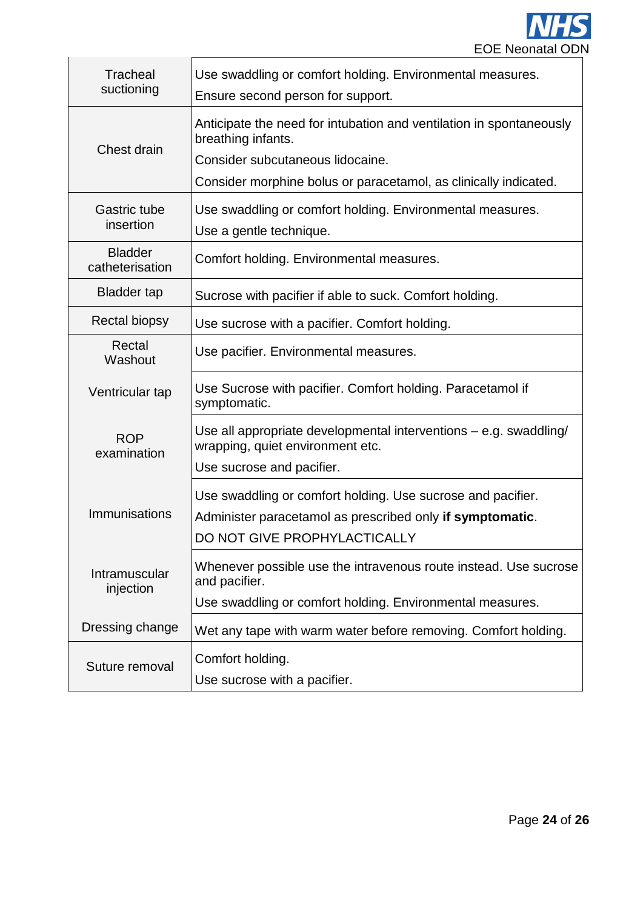

| Tracheal<br>suctioning            | Use swaddling or comfort holding. Environmental measures.<br>Ensure second person for support.                                                           |
|-----------------------------------|----------------------------------------------------------------------------------------------------------------------------------------------------------|
| Chest drain                       | Anticipate the need for intubation and ventilation in spontaneously<br>breathing infants.                                                                |
|                                   | Consider subcutaneous lidocaine.<br>Consider morphine bolus or paracetamol, as clinically indicated.                                                     |
| <b>Gastric tube</b><br>insertion  | Use swaddling or comfort holding. Environmental measures.<br>Use a gentle technique.                                                                     |
| <b>Bladder</b><br>catheterisation | Comfort holding. Environmental measures.                                                                                                                 |
| <b>Bladder tap</b>                | Sucrose with pacifier if able to suck. Comfort holding.                                                                                                  |
| <b>Rectal biopsy</b>              | Use sucrose with a pacifier. Comfort holding.                                                                                                            |
| Rectal<br>Washout                 | Use pacifier. Environmental measures.                                                                                                                    |
| Ventricular tap                   | Use Sucrose with pacifier. Comfort holding. Paracetamol if<br>symptomatic.                                                                               |
| <b>ROP</b><br>examination         | Use all appropriate developmental interventions – e.g. swaddling/<br>wrapping, quiet environment etc.                                                    |
|                                   | Use sucrose and pacifier.                                                                                                                                |
| Immunisations                     | Use swaddling or comfort holding. Use sucrose and pacifier.<br>Administer paracetamol as prescribed only if symptomatic.<br>DO NOT GIVE PROPHYLACTICALLY |
| Intramuscular<br>injection        | Whenever possible use the intravenous route instead. Use sucrose<br>and pacifier.                                                                        |
|                                   | Use swaddling or comfort holding. Environmental measures.                                                                                                |
| Dressing change                   | Wet any tape with warm water before removing. Comfort holding.                                                                                           |
| Suture removal                    | Comfort holding.                                                                                                                                         |
|                                   | Use sucrose with a pacifier.                                                                                                                             |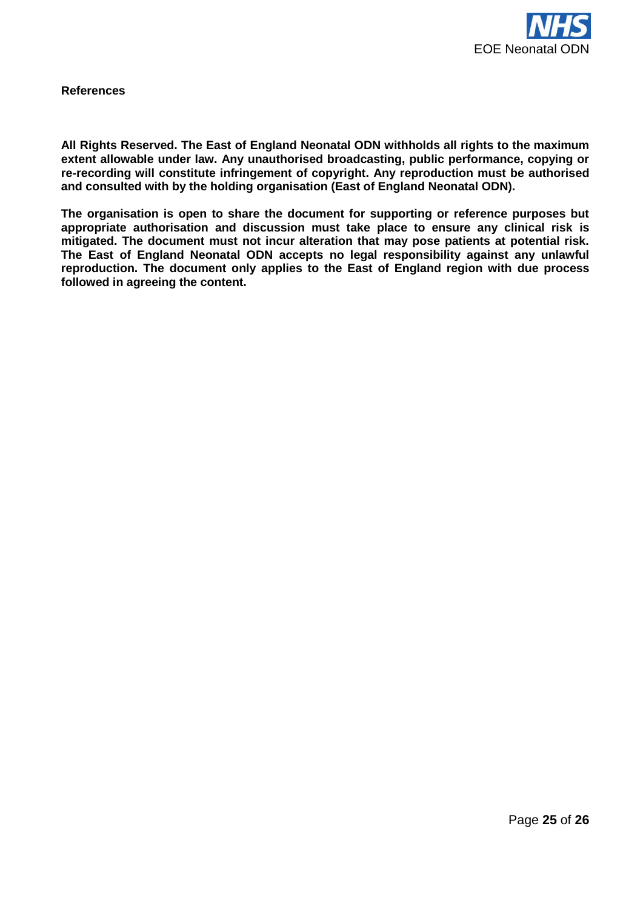

**References**

**All Rights Reserved. The East of England Neonatal ODN withholds all rights to the maximum extent allowable under law. Any unauthorised broadcasting, public performance, copying or re-recording will constitute infringement of copyright. Any reproduction must be authorised and consulted with by the holding organisation (East of England Neonatal ODN).**

**The organisation is open to share the document for supporting or reference purposes but appropriate authorisation and discussion must take place to ensure any clinical risk is mitigated. The document must not incur alteration that may pose patients at potential risk. The East of England Neonatal ODN accepts no legal responsibility against any unlawful reproduction. The document only applies to the East of England region with due process followed in agreeing the content.**